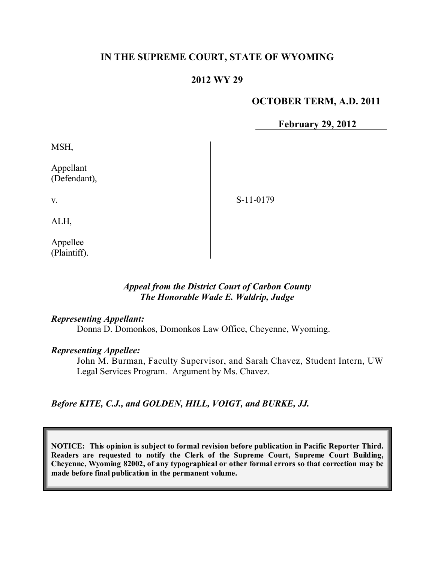# **IN THE SUPREME COURT, STATE OF WYOMING**

## **2012 WY 29**

#### **OCTOBER TERM, A.D. 2011**

**February 29, 2012**

MSH,

Appellant (Defendant),

S-11-0179

ALH,

v.

Appellee (Plaintiff).

### *Appeal from the District Court of Carbon County The Honorable Wade E. Waldrip, Judge*

#### *Representing Appellant:*

Donna D. Domonkos, Domonkos Law Office, Cheyenne, Wyoming.

#### *Representing Appellee:*

John M. Burman, Faculty Supervisor, and Sarah Chavez, Student Intern, UW Legal Services Program. Argument by Ms. Chavez.

*Before KITE, C.J., and GOLDEN, HILL, VOIGT, and BURKE, JJ.*

**NOTICE: This opinion is subject to formal revision before publication in Pacific Reporter Third. Readers are requested to notify the Clerk of the Supreme Court, Supreme Court Building, Cheyenne, Wyoming 82002, of any typographical or other formal errors so that correction may be made before final publication in the permanent volume.**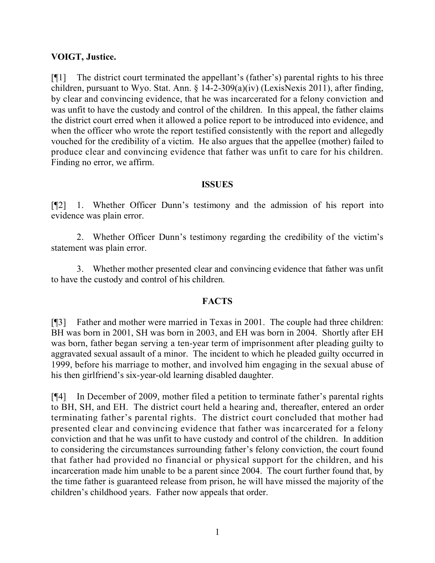## **VOIGT, Justice.**

[¶1] The district court terminated the appellant's (father's) parental rights to his three children, pursuant to Wyo. Stat. Ann. § 14-2-309(a)(iv) (LexisNexis 2011), after finding, by clear and convincing evidence, that he was incarcerated for a felony conviction and was unfit to have the custody and control of the children. In this appeal, the father claims the district court erred when it allowed a police report to be introduced into evidence, and when the officer who wrote the report testified consistently with the report and allegedly vouched for the credibility of a victim. He also argues that the appellee (mother) failed to produce clear and convincing evidence that father was unfit to care for his children. Finding no error, we affirm.

### **ISSUES**

[¶2] 1. Whether Officer Dunn's testimony and the admission of his report into evidence was plain error.

2. Whether Officer Dunn's testimony regarding the credibility of the victim's statement was plain error.

3. Whether mother presented clear and convincing evidence that father was unfit to have the custody and control of his children.

## **FACTS**

[¶3] Father and mother were married in Texas in 2001. The couple had three children: BH was born in 2001, SH was born in 2003, and EH was born in 2004. Shortly after EH was born, father began serving a ten-year term of imprisonment after pleading guilty to aggravated sexual assault of a minor. The incident to which he pleaded guilty occurred in 1999, before his marriage to mother, and involved him engaging in the sexual abuse of his then girlfriend's six-year-old learning disabled daughter.

[¶4] In December of 2009, mother filed a petition to terminate father's parental rights to BH, SH, and EH. The district court held a hearing and, thereafter, entered an order terminating father's parental rights. The district court concluded that mother had presented clear and convincing evidence that father was incarcerated for a felony conviction and that he was unfit to have custody and control of the children. In addition to considering the circumstances surrounding father's felony conviction, the court found that father had provided no financial or physical support for the children, and his incarceration made him unable to be a parent since 2004. The court further found that, by the time father is guaranteed release from prison, he will have missed the majority of the children's childhood years. Father now appeals that order.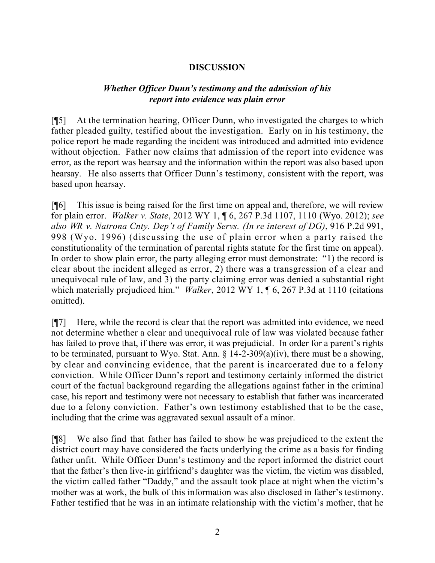# **DISCUSSION**

## *Whether Officer Dunn's testimony and the admission of his report into evidence was plain error*

[¶5] At the termination hearing, Officer Dunn, who investigated the charges to which father pleaded guilty, testified about the investigation. Early on in his testimony, the police report he made regarding the incident was introduced and admitted into evidence without objection. Father now claims that admission of the report into evidence was error, as the report was hearsay and the information within the report was also based upon hearsay. He also asserts that Officer Dunn's testimony, consistent with the report, was based upon hearsay.

[¶6] This issue is being raised for the first time on appeal and, therefore, we will review for plain error. *Walker v. State*, 2012 WY 1, ¶ 6, 267 P.3d 1107, 1110 (Wyo. 2012); *see also WR v. Natrona Cnty. Dep't of Family Servs. (In re interest of DG)*, 916 P.2d 991, 998 (Wyo. 1996) (discussing the use of plain error when a party raised the constitutionality of the termination of parental rights statute for the first time on appeal). In order to show plain error, the party alleging error must demonstrate: "1) the record is clear about the incident alleged as error, 2) there was a transgression of a clear and unequivocal rule of law, and 3) the party claiming error was denied a substantial right which materially prejudiced him." *Walker*, 2012 WY 1, ¶ 6, 267 P.3d at 1110 (citations omitted).

[¶7] Here, while the record is clear that the report was admitted into evidence, we need not determine whether a clear and unequivocal rule of law was violated because father has failed to prove that, if there was error, it was prejudicial. In order for a parent's rights to be terminated, pursuant to Wyo. Stat. Ann. § 14-2-309(a)(iv), there must be a showing, by clear and convincing evidence, that the parent is incarcerated due to a felony conviction. While Officer Dunn's report and testimony certainly informed the district court of the factual background regarding the allegations against father in the criminal case, his report and testimony were not necessary to establish that father was incarcerated due to a felony conviction. Father's own testimony established that to be the case, including that the crime was aggravated sexual assault of a minor.

[¶8] We also find that father has failed to show he was prejudiced to the extent the district court may have considered the facts underlying the crime as a basis for finding father unfit. While Officer Dunn's testimony and the report informed the district court that the father's then live-in girlfriend's daughter was the victim, the victim was disabled, the victim called father "Daddy," and the assault took place at night when the victim's mother was at work, the bulk of this information was also disclosed in father's testimony. Father testified that he was in an intimate relationship with the victim's mother, that he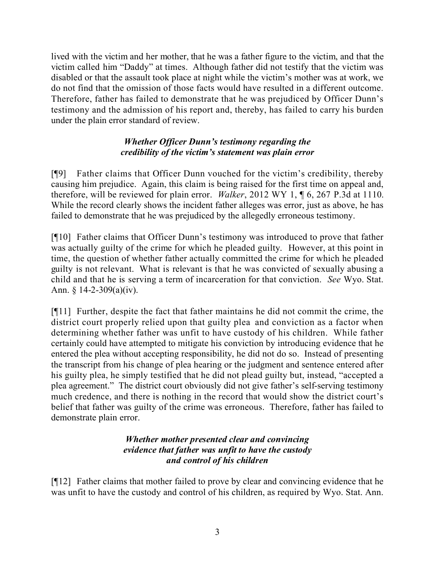lived with the victim and her mother, that he was a father figure to the victim, and that the victim called him "Daddy" at times. Although father did not testify that the victim was disabled or that the assault took place at night while the victim's mother was at work, we do not find that the omission of those facts would have resulted in a different outcome. Therefore, father has failed to demonstrate that he was prejudiced by Officer Dunn's testimony and the admission of his report and, thereby, has failed to carry his burden under the plain error standard of review.

# *Whether Officer Dunn's testimony regarding the credibility of the victim's statement was plain error*

[¶9] Father claims that Officer Dunn vouched for the victim's credibility, thereby causing him prejudice. Again, this claim is being raised for the first time on appeal and, therefore, will be reviewed for plain error. *Walker*, 2012 WY 1, ¶ 6, 267 P.3d at 1110. While the record clearly shows the incident father alleges was error, just as above, he has failed to demonstrate that he was prejudiced by the allegedly erroneous testimony.

[¶10] Father claims that Officer Dunn's testimony was introduced to prove that father was actually guilty of the crime for which he pleaded guilty. However, at this point in time, the question of whether father actually committed the crime for which he pleaded guilty is not relevant. What is relevant is that he was convicted of sexually abusing a child and that he is serving a term of incarceration for that conviction. *See* Wyo. Stat. Ann. § 14-2-309(a)(iv).

[¶11] Further, despite the fact that father maintains he did not commit the crime, the district court properly relied upon that guilty plea and conviction as a factor when determining whether father was unfit to have custody of his children. While father certainly could have attempted to mitigate his conviction by introducing evidence that he entered the plea without accepting responsibility, he did not do so. Instead of presenting the transcript from his change of plea hearing or the judgment and sentence entered after his guilty plea, he simply testified that he did not plead guilty but, instead, "accepted a plea agreement." The district court obviously did not give father's self-serving testimony much credence, and there is nothing in the record that would show the district court's belief that father was guilty of the crime was erroneous. Therefore, father has failed to demonstrate plain error.

# *Whether mother presented clear and convincing evidence that father was unfit to have the custody and control of his children*

[¶12] Father claims that mother failed to prove by clear and convincing evidence that he was unfit to have the custody and control of his children, as required by Wyo. Stat. Ann.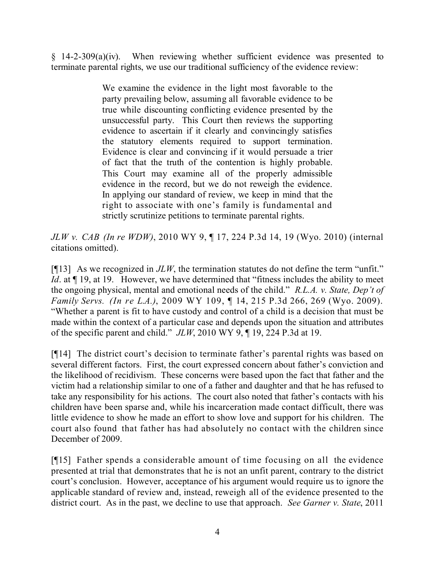§ 14-2-309(a)(iv). When reviewing whether sufficient evidence was presented to terminate parental rights, we use our traditional sufficiency of the evidence review:

> We examine the evidence in the light most favorable to the party prevailing below, assuming all favorable evidence to be true while discounting conflicting evidence presented by the unsuccessful party. This Court then reviews the supporting evidence to ascertain if it clearly and convincingly satisfies the statutory elements required to support termination. Evidence is clear and convincing if it would persuade a trier of fact that the truth of the contention is highly probable. This Court may examine all of the properly admissible evidence in the record, but we do not reweigh the evidence. In applying our standard of review, we keep in mind that the right to associate with one's family is fundamental and strictly scrutinize petitions to terminate parental rights.

*JLW v. CAB (In re WDW)*, 2010 WY 9, ¶ 17, 224 P.3d 14, 19 (Wyo. 2010) (internal citations omitted).

[¶13] As we recognized in *JLW*, the termination statutes do not define the term "unfit." *Id*. at  $\P$  19, at 19. However, we have determined that "fitness includes the ability to meet the ongoing physical, mental and emotional needs of the child." *R.L.A. v. State, Dep't of Family Servs. (In re L.A.)*, 2009 WY 109, ¶ 14, 215 P.3d 266, 269 (Wyo. 2009). "Whether a parent is fit to have custody and control of a child is a decision that must be made within the context of a particular case and depends upon the situation and attributes of the specific parent and child." *JLW*, 2010 WY 9, ¶ 19, 224 P.3d at 19.

[¶14] The district court's decision to terminate father's parental rights was based on several different factors. First, the court expressed concern about father's conviction and the likelihood of recidivism. These concerns were based upon the fact that father and the victim had a relationship similar to one of a father and daughter and that he has refused to take any responsibility for his actions. The court also noted that father's contacts with his children have been sparse and, while his incarceration made contact difficult, there was little evidence to show he made an effort to show love and support for his children. The court also found that father has had absolutely no contact with the children since December of 2009.

[¶15] Father spends a considerable amount of time focusing on all the evidence presented at trial that demonstrates that he is not an unfit parent, contrary to the district court's conclusion. However, acceptance of his argument would require us to ignore the applicable standard of review and, instead, reweigh all of the evidence presented to the district court. As in the past, we decline to use that approach. *See Garner v. State*, 2011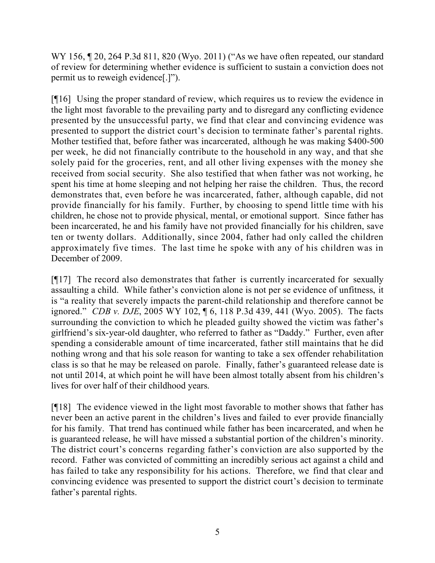WY 156, 120, 264 P.3d 811, 820 (Wyo. 2011) ("As we have often repeated, our standard of review for determining whether evidence is sufficient to sustain a conviction does not permit us to reweigh evidence[.]").

[¶16] Using the proper standard of review, which requires us to review the evidence in the light most favorable to the prevailing party and to disregard any conflicting evidence presented by the unsuccessful party, we find that clear and convincing evidence was presented to support the district court's decision to terminate father's parental rights. Mother testified that, before father was incarcerated, although he was making \$400-500 per week, he did not financially contribute to the household in any way, and that she solely paid for the groceries, rent, and all other living expenses with the money she received from social security. She also testified that when father was not working, he spent his time at home sleeping and not helping her raise the children. Thus, the record demonstrates that, even before he was incarcerated, father, although capable, did not provide financially for his family. Further, by choosing to spend little time with his children, he chose not to provide physical, mental, or emotional support. Since father has been incarcerated, he and his family have not provided financially for his children, save ten or twenty dollars. Additionally, since 2004, father had only called the children approximately five times. The last time he spoke with any of his children was in December of 2009.

[¶17] The record also demonstrates that father is currently incarcerated for sexually assaulting a child. While father's conviction alone is not per se evidence of unfitness, it is "a reality that severely impacts the parent-child relationship and therefore cannot be ignored." *CDB v. DJE*, 2005 WY 102, ¶ 6, 118 P.3d 439, 441 (Wyo. 2005). The facts surrounding the conviction to which he pleaded guilty showed the victim was father's girlfriend's six-year-old daughter, who referred to father as "Daddy." Further, even after spending a considerable amount of time incarcerated, father still maintains that he did nothing wrong and that his sole reason for wanting to take a sex offender rehabilitation class is so that he may be released on parole. Finally, father's guaranteed release date is not until 2014, at which point he will have been almost totally absent from his children's lives for over half of their childhood years.

[¶18] The evidence viewed in the light most favorable to mother shows that father has never been an active parent in the children's lives and failed to ever provide financially for his family. That trend has continued while father has been incarcerated, and when he is guaranteed release, he will have missed a substantial portion of the children's minority. The district court's concerns regarding father's conviction are also supported by the record. Father was convicted of committing an incredibly serious act against a child and has failed to take any responsibility for his actions. Therefore, we find that clear and convincing evidence was presented to support the district court's decision to terminate father's parental rights.